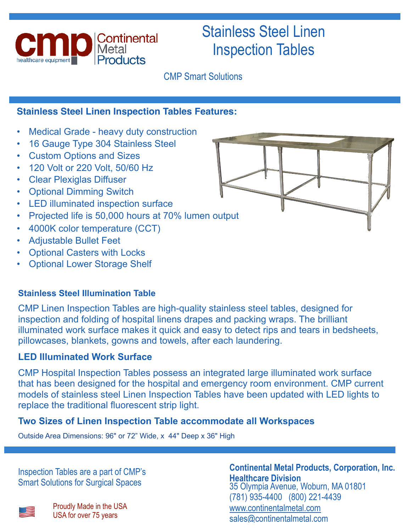

# Stainless Steel Linen Inspection Tables

CMP Smart Solutions

# **Stainless Steel Linen Inspection Tables Features:**

- Medical Grade heavy duty construction
- 16 Gauge Type 304 Stainless Steel
- Custom Options and Sizes
- 120 Volt or 220 Volt, 50/60 Hz
- Clear Plexiglas Diffuser
- Optional Dimming Switch
- LED illuminated inspection surface
- Projected life is 50,000 hours at 70% lumen output
- 4000K color temperature (CCT)
- Adjustable Bullet Feet
- **Optional Casters with Locks**
- **Optional Lower Storage Shelf**

## **Stainless Steel Illumination Table**

CMP Linen Inspection Tables are high-quality stainless steel tables, designed for inspection and folding of hospital linens drapes and packing wraps. The brilliant illuminated work surface makes it quick and easy to detect rips and tears in bedsheets, pillowcases, blankets, gowns and towels, after each laundering.

## **LED Illuminated Work Surface**

CMP Hospital Inspection Tables possess an integrated large illuminated work surface that has been designed for the hospital and emergency room environment. CMP current models of stainless steel Linen Inspection Tables have been updated with LED lights to replace the traditional fluorescent strip light.

## **Two Sizes of Linen Inspection Table accommodate all Workspaces**

Outside Area Dimensions: 96" or 72" Wide, x 44" Deep x 36" High

Inspection Tables are a part of CMP's Smart Solutions for Surgical Spaces



**Continental Metal Products, Corporation, Inc. Healthcare Division**  35 Olympia Avenue, Woburn, MA 01801 (781) 935-4400 (800) 221-4439 [www.continentalmetal.com](http://www.continentalmetal.com)  [sales@continentalmetal.com](mailto:sales@continentalmetal.com)

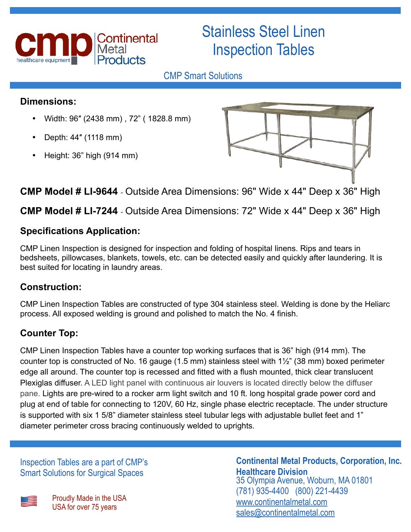

# Stainless Steel Linen Inspection Tables

# CMP Smart Solutions

# **Dimensions:**

- Width: 96″ (2438 mm) , 72" ( 1828.8 mm)
- Depth: 44″ (1118 mm)
- Height: 36" high (914 mm)



# **CMP Model # LI-9644** - Outside Area Dimensions: 96" Wide x 44" Deep x 36" High

# **CMP Model # LI-7244** - Outside Area Dimensions: 72" Wide x 44" Deep x 36" High

# **Specifications Application:**

CMP Linen Inspection is designed for inspection and folding of hospital linens. Rips and tears in bedsheets, pillowcases, blankets, towels, etc. can be detected easily and quickly after laundering. It is best suited for locating in laundry areas.

# **Construction:**

CMP Linen Inspection Tables are constructed of type 304 stainless steel. Welding is done by the Heliarc process. All exposed welding is ground and polished to match the No. 4 finish.

# **Counter Top:**

CMP Linen Inspection Tables have a counter top working surfaces that is 36" high (914 mm). The counter top is constructed of No. 16 gauge (1.5 mm) stainless steel with 1½" (38 mm) boxed perimeter edge all around. The counter top is recessed and fitted with a flush mounted, thick clear translucent Plexiglas diffuser. A LED light panel with continuous air louvers is located directly below the diffuser pane. Lights are pre-wired to a rocker arm light switch and 10 ft. long hospital grade power cord and plug at end of table for connecting to 120V, 60 Hz, single phase electric receptacle. The under structure is supported with six 1 5/8" diameter stainless steel tubular legs with adjustable bullet feet and 1" diameter perimeter cross bracing continuously welded to uprights.

Inspection Tables are a part of CMP's Smart Solutions for Surgical Spaces

Proudly Made in the USA<br>USA for over 75 years

# **Continental Metal Products, Corporation, Inc. Healthcare Division**

35 Olympia Avenue, Woburn, MA 01801 (781) 935-4400 (800) 221-4439 [www.continentalmetal.com](http://www.continentalmetal.com)  [sales@continentalmetal.com](mailto:sales@continentalmetal.com)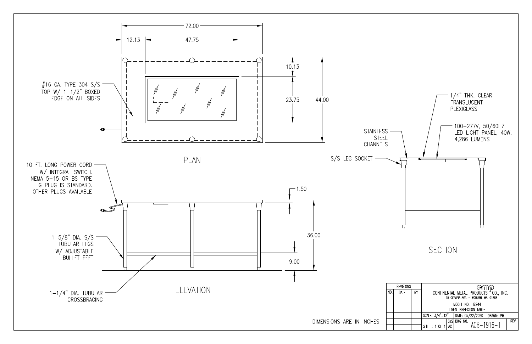